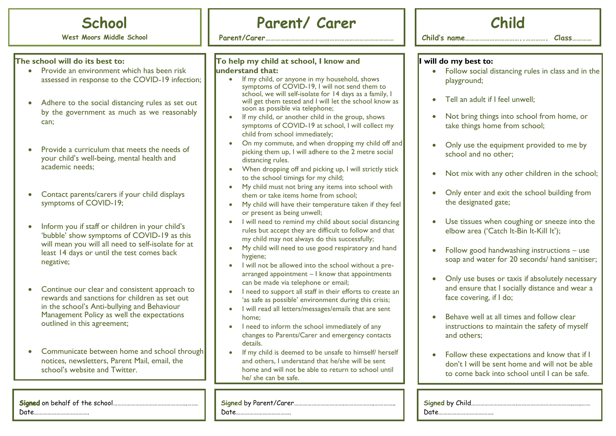

**West Moors Middle School**

#### **The school will do its best to:**

- **•** Provide an environment which has been risk assessed in response to the COVID-19 infection;
- Adhere to the social distancing rules as set out by the government as much as we reasonably can;
- Provide a curriculum that meets the needs of your child's well-being, mental health and academic needs;
- Contact parents/carers if your child displays symptoms of COVID-19;
- Inform you if staff or children in your child's 'bubble' show symptoms of COVID-19 as this will mean you will all need to self-isolate for at least 14 days or until the test comes back negative;
- Continue our clear and consistent approach to rewards and sanctions for children as set out in the school's Anti-bullying and Behaviour Management Policy as well the expectations outlined in this agreement;
- Communicate between home and school through notices, newsletters, Parent Mail, email, the school's website and Twitter.

## **Parent/ Carer**

**Parent/Carer……………………………………………………………………**

#### **To help my child at school, I know and understand that:**

- If my child, or anyone in my household, shows symptoms of COVID-19, I will not send them to school, we will self-isolate for 14 days as a family, I will get them tested and I will let the school know as soon as possible via telephone;
- If my child, or another child in the group, shows symptoms of COVID-19 at school, I will collect my child from school immediately;
- On my commute, and when dropping my child off and picking them up, I will adhere to the 2 metre social distancing rules.
- When dropping off and picking up, I will strictly stick to the school timings for my child;
- My child must not bring any items into school with them or take items home from school;
- My child will have their temperature taken if they feel or present as being unwell;
- I will need to remind my child about social distancing rules but accept they are difficult to follow and that my child may not always do this successfully;
- My child will need to use good respiratory and hand hygiene;
- I will not be allowed into the school without a prearranged appointment – I know that appointments can be made via telephone or email;
- I need to support all staff in their efforts to create an 'as safe as possible' environment during this crisis;
- I will read all letters/messages/emails that are sent home;
- I need to inform the school immediately of any changes to Parents/Carer and emergency contacts details.
- If my child is deemed to be unsafe to himself/ herself and others, I understand that he/she will be sent home and will not be able to return to school until he/ she can be safe.

**Signed** by Parent/Carer…………………………….………………..…………..

Date……………………………….

| Chilc |  |
|-------|--|
|       |  |

**Child's name……………………………..…………. Class…………**

#### **I will do my best to:**

- Follow social distancing rules in class and in the playground;
- Tell an adult if I feel unwell;
- Not bring things into school from home, or take things home from school;
- Only use the equipment provided to me by school and no other;
- Not mix with any other children in the school;
- Only enter and exit the school building from the designated gate;
- Use tissues when coughing or sneeze into the elbow area ('Catch It-Bin It-Kill It');
- Follow good handwashing instructions use soap and water for 20 seconds/ hand sanitiser;
- Only use buses or taxis if absolutely necessary and ensure that I socially distance and wear a face covering, if I do;
- Behave well at all times and follow clear instructions to maintain the safety of myself and others;
- Follow these expectations and know that if I don't I will be sent home and will not be able to come back into school until I can be safe.